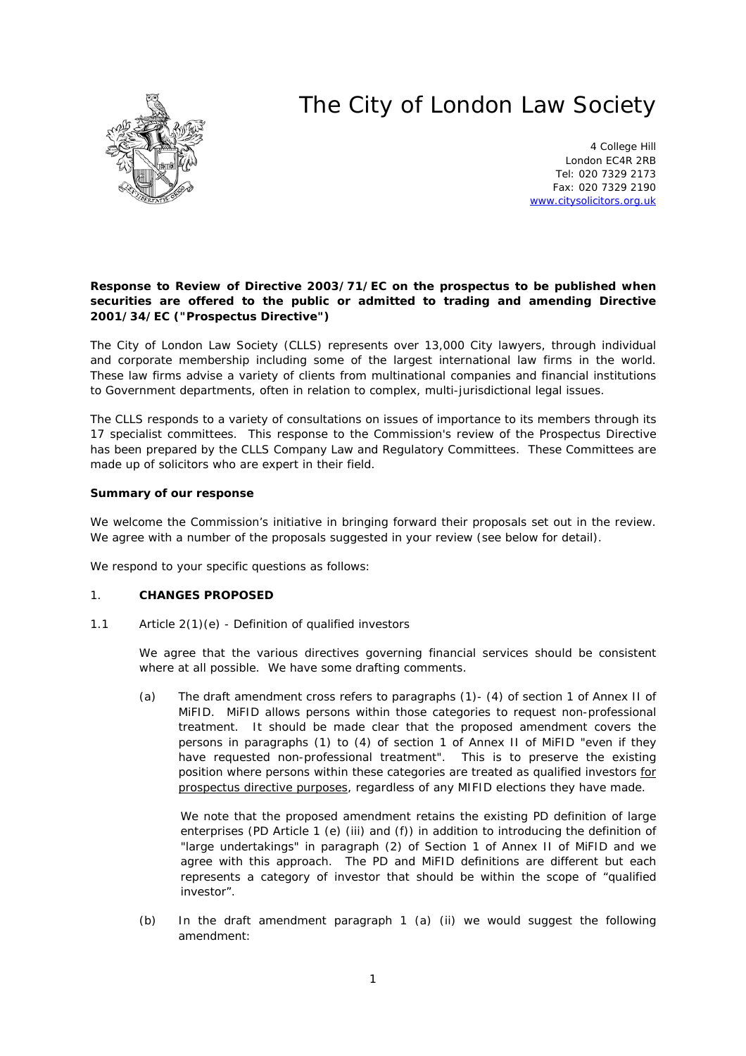# The City of London Law Society



4 College Hill London EC4R 2RB Tel: 020 7329 2173 Fax: 020 7329 2190 [www.citysolicitors.org.uk](http://www.citysolicitors.org.uk/)

## **Response to Review of Directive 2003/71/EC on the prospectus to be published when securities are offered to the public or admitted to trading and amending Directive 2001/34/EC ("Prospectus Directive")**

The City of London Law Society (CLLS) represents over 13,000 City lawyers, through individual and corporate membership including some of the largest international law firms in the world. These law firms advise a variety of clients from multinational companies and financial institutions to Government departments, often in relation to complex, multi-jurisdictional legal issues.

The CLLS responds to a variety of consultations on issues of importance to its members through its 17 specialist committees. This response to the Commission's review of the Prospectus Directive has been prepared by the CLLS Company Law and Regulatory Committees. These Committees are made up of solicitors who are expert in their field.

# **Summary of our response**

We welcome the Commission's initiative in bringing forward their proposals set out in the review. We agree with a number of the proposals suggested in your review (see below for detail).

We respond to your specific questions as follows:

## 1. **CHANGES PROPOSED**

1.1 *Article 2(1)(e) - Definition of qualified investors*

We agree that the various directives governing financial services should be consistent where at all possible. We have some drafting comments.

(a) The draft amendment cross refers to paragraphs (1)- (4) of section 1 of Annex II of MiFID. MiFID allows persons within those categories to request non-professional treatment. It should be made clear that the proposed amendment covers the persons in paragraphs (1) to (4) of section 1 of Annex II of MiFID "even if they have requested non-professional treatment". This is to preserve the existing position where persons within these categories are treated as qualified investors for prospectus directive purposes, regardless of any MIFID elections they have made.

We note that the proposed amendment retains the existing PD definition of large enterprises (PD Article 1 (e) (iii) and (f)) in addition to introducing the definition of "large undertakings" in paragraph (2) of Section 1 of Annex II of MiFID and we agree with this approach. The PD and MiFID definitions are different but each represents a category of investor that should be within the scope of "qualified investor".

(b) In the draft amendment paragraph 1 (a) (ii) we would suggest the following amendment: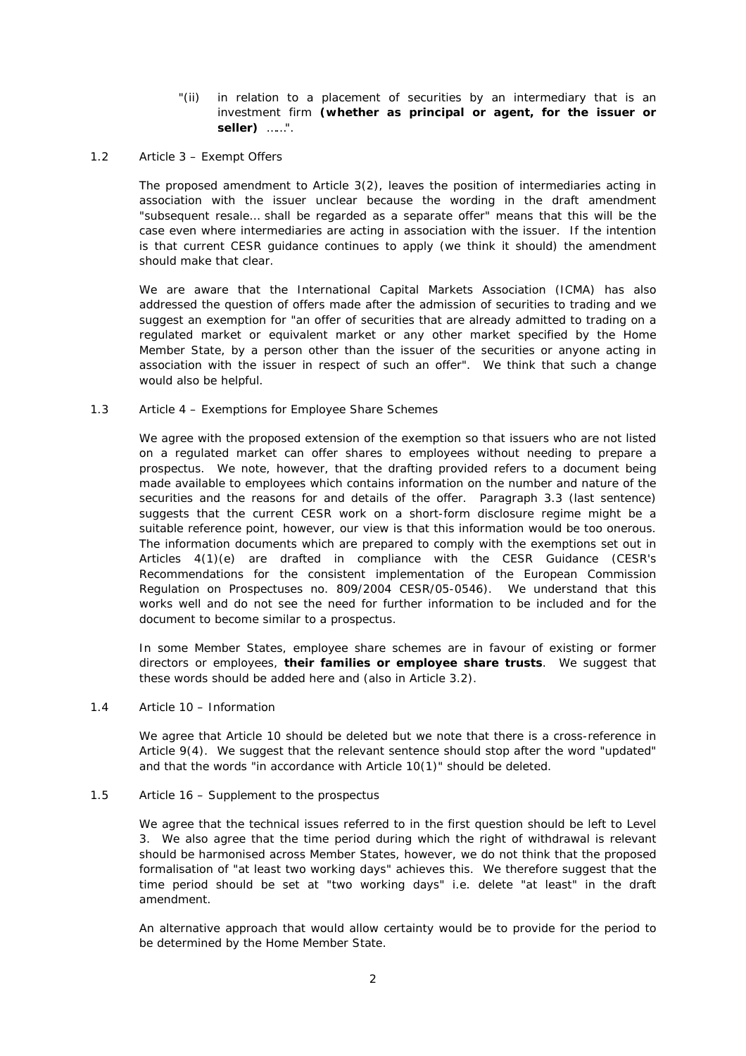### "(ii) in relation to a placement of securities by an intermediary that is an investment firm **(whether as principal or agent, for the issuer or seller)** ……".

### 1.2 *Article 3 – Exempt Offers*

The proposed amendment to Article 3(2), leaves the position of intermediaries acting in association with the issuer unclear because the wording in the draft amendment "subsequent resale… shall be regarded as a separate offer" means that this will be the case even where intermediaries are acting in association with the issuer. If the intention is that current CESR guidance continues to apply (we think it should) the amendment should make that clear.

We are aware that the International Capital Markets Association (ICMA) has also addressed the question of offers made after the admission of securities to trading and we suggest an exemption for *"an offer of securities that are already admitted to trading on a regulated market or equivalent market or any other market specified by the Home Member State, by a person other than the issuer of the securities or anyone acting in association with the issuer in respect of such an offer"*. We think that such a change would also be helpful.

## 1.3 *Article 4 – Exemptions for Employee Share Schemes*

We agree with the proposed extension of the exemption so that issuers who are not listed on a regulated market can offer shares to employees without needing to prepare a prospectus. We note, however, that the drafting provided refers to a document being made available to employees which contains information on the number and nature of the securities and the reasons for and details of the offer. Paragraph 3.3 (last sentence) suggests that the current CESR work on a short-form disclosure regime might be a suitable reference point, however, our view is that this information would be too onerous. The information documents which are prepared to comply with the exemptions set out in Articles 4(1)(e) are drafted in compliance with the CESR Guidance (CESR's Recommendations for the consistent implementation of the European Commission Regulation on Prospectuses no. 809/2004 CESR/05-0546). We understand that this works well and do not see the need for further information to be included and for the document to become similar to a prospectus.

In some Member States, employee share schemes are in favour of existing or former directors or employees, **their families or employee share trusts**. We suggest that these words should be added here and (also in Article 3.2).

#### 1.4 *Article 10 – Information*

We agree that Article 10 should be deleted but we note that there is a cross-reference in Article 9(4). We suggest that the relevant sentence should stop after the word "updated" and that the words "in accordance with Article 10(1)" should be deleted.

#### 1.5 *Article 16 – Supplement to the prospectus*

We agree that the technical issues referred to in the first question should be left to Level 3. We also agree that the time period during which the right of withdrawal is relevant should be harmonised across Member States, however, we do not think that the proposed formalisation of "at least two working days" achieves this. We therefore suggest that the time period should be set at "two working days" i.e. delete "at least" in the draft amendment.

An alternative approach that would allow certainty would be to provide for the period to be determined by the Home Member State.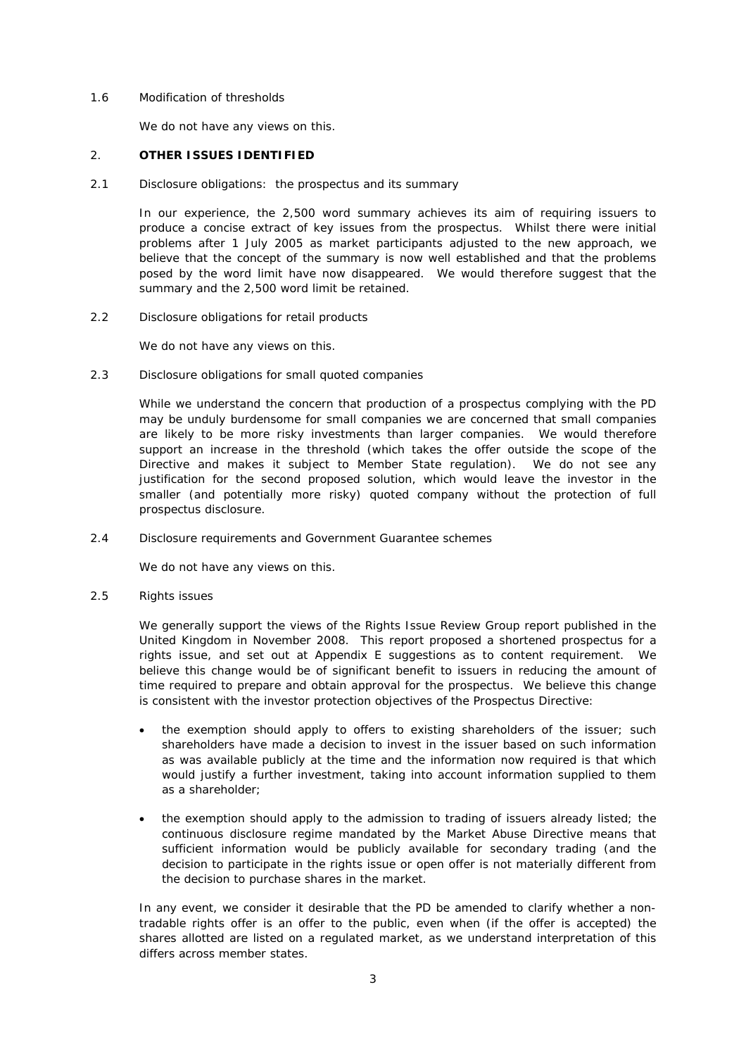### 1.6 *Modification of thresholds*

We do not have any views on this.

## 2. **OTHER ISSUES IDENTIFIED**

## 2.1 *Disclosure obligations: the prospectus and its summary*

In our experience, the 2,500 word summary achieves its aim of requiring issuers to produce a concise extract of key issues from the prospectus. Whilst there were initial problems after 1 July 2005 as market participants adjusted to the new approach, we believe that the concept of the summary is now well established and that the problems posed by the word limit have now disappeared. We would therefore suggest that the summary and the 2,500 word limit be retained.

#### 2.2 *Disclosure obligations for retail products*

We do not have any views on this.

## 2.3 *Disclosure obligations for small quoted companies*

While we understand the concern that production of a prospectus complying with the PD may be unduly burdensome for small companies we are concerned that small companies are likely to be more risky investments than larger companies. We would therefore support an increase in the threshold (which takes the offer outside the scope of the Directive and makes it subject to Member State regulation). We do not see any justification for the second proposed solution, which would leave the investor in the smaller (and potentially more risky) quoted company without the protection of full prospectus disclosure.

## 2.4 *Disclosure requirements and Government Guarantee schemes*

We do not have any views on this.

2.5 *Rights issues*

We generally support the views of the Rights Issue Review Group report published in the United Kingdom in November 2008. This report proposed a shortened prospectus for a rights issue, and set out at Appendix E suggestions as to content requirement. We believe this change would be of significant benefit to issuers in reducing the amount of time required to prepare and obtain approval for the prospectus. We believe this change is consistent with the investor protection objectives of the Prospectus Directive:

- the exemption should apply to offers to existing shareholders of the issuer; such shareholders have made a decision to invest in the issuer based on such information as was available publicly at the time and the information now required is that which would justify a further investment, taking into account information supplied to them as a shareholder;
- the exemption should apply to the admission to trading of issuers already listed; the continuous disclosure regime mandated by the Market Abuse Directive means that sufficient information would be publicly available for secondary trading (and the decision to participate in the rights issue or open offer is not materially different from the decision to purchase shares in the market.

In any event, we consider it desirable that the PD be amended to clarify whether a nontradable rights offer is an offer to the public, even when (if the offer is accepted) the shares allotted are listed on a regulated market, as we understand interpretation of this differs across member states.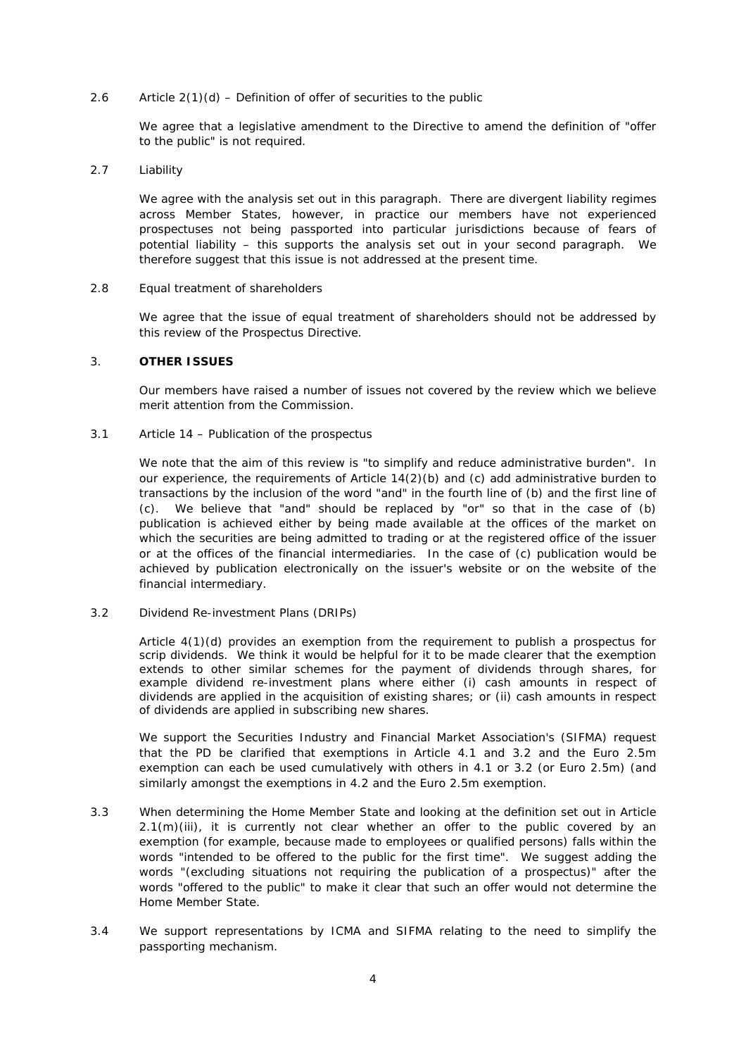# 2.6 *Article 2(1)(d) – Definition of offer of securities to the public*

We agree that a legislative amendment to the Directive to amend the definition of "offer to the public" is not required.

#### 2.7 *Liability*

We agree with the analysis set out in this paragraph. There are divergent liability regimes across Member States, however, in practice our members have not experienced prospectuses not being passported into particular jurisdictions because of fears of potential liability – this supports the analysis set out in your second paragraph. We therefore suggest that this issue is not addressed at the present time.

#### 2.8 *Equal treatment of shareholders*

We agree that the issue of equal treatment of shareholders should not be addressed by this review of the Prospectus Directive.

## 3. **OTHER ISSUES**

Our members have raised a number of issues not covered by the review which we believe merit attention from the Commission.

#### 3.1 *Article 14 – Publication of the prospectus*

We note that the aim of this review is "to simplify and reduce administrative burden". In our experience, the requirements of Article 14(2)(b) and (c) add administrative burden to transactions by the inclusion of the word "and" in the fourth line of (b) and the first line of (c). We believe that "and" should be replaced by "or" so that in the case of (b) publication is achieved either by being made available at the offices of the market on which the securities are being admitted to trading or at the registered office of the issuer or at the offices of the financial intermediaries. In the case of (c) publication would be achieved by publication electronically on the issuer's website or on the website of the financial intermediary.

## 3.2 *Dividend Re-investment Plans (DRIPs)*

Article 4(1)(d) provides an exemption from the requirement to publish a prospectus for scrip dividends. We think it would be helpful for it to be made clearer that the exemption extends to other similar schemes for the payment of dividends through shares, for example dividend re-investment plans where either (i) cash amounts in respect of dividends are applied in the acquisition of existing shares; or (ii) cash amounts in respect of dividends are applied in subscribing new shares.

We support the Securities Industry and Financial Market Association's (SIFMA) request that the PD be clarified that exemptions in Article 4.1 and 3.2 and the Euro 2.5m exemption can each be used cumulatively with others in 4.1 or 3.2 (or Euro 2.5m) (and similarly amongst the exemptions in 4.2 and the Euro 2.5m exemption.

- 3.3 When determining the Home Member State and looking at the definition set out in Article 2.1(m)(iii), it is currently not clear whether an offer to the public covered by an exemption (for example, because made to employees or qualified persons) falls within the words "intended to be offered to the public for the first time". We suggest adding the words "(excluding situations not requiring the publication of a prospectus)" after the words "offered to the public" to make it clear that such an offer would not determine the Home Member State.
- 3.4 We support representations by ICMA and SIFMA relating to the need to simplify the passporting mechanism.